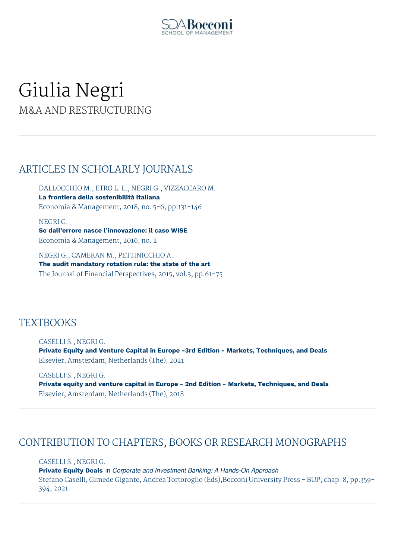

# Giulia Negri M&A AND RESTRUCTURING

# ARTICLES IN SCHOLARLY JOURNALS

DALLOCCHIO M., ETRO L. L., NEGRI G., VIZZACCARO M. **La frontiera della sostenibilità italiana** Economia & Management, 2018, no. 5-6, pp.131-146

NEGRI G. **Se dall'errore nasce l'innovazione: il caso WISE** Economia & Management, 2016, no. 2

NEGRI G., CAMERAN M., PETTINICCHIO A. **The audit mandatory rotation rule: the state of the art** The Journal of Financial Perspectives, 2015, vol.3, pp.61-75

### **TEXTBOOKS**

CASELLI S., NEGRI G. **Private Equity and Venture Capital in Europe -3rd Edition - Markets, Techniques, and Deals** Elsevier, Amsterdam, Netherlands (The), 2021

CASELLI S., NEGRI G. **Private equity and venture capital in Europe - 2nd Edition - Markets, Techniques, and Deals** Elsevier, Amsterdam, Netherlands (The), 2018

# CONTRIBUTION TO CHAPTERS, BOOKS OR RESEARCH MONOGRAPHS

CASELLI S., NEGRI G. **Private Equity Deals** in *Corporate and Investment Banking: A Hands-On Approach* Stefano Caselli, Gimede Gigante, Andrea Tortoroglio (Eds),Bocconi University Press - BUP, chap. 8, pp.359- 394, 2021